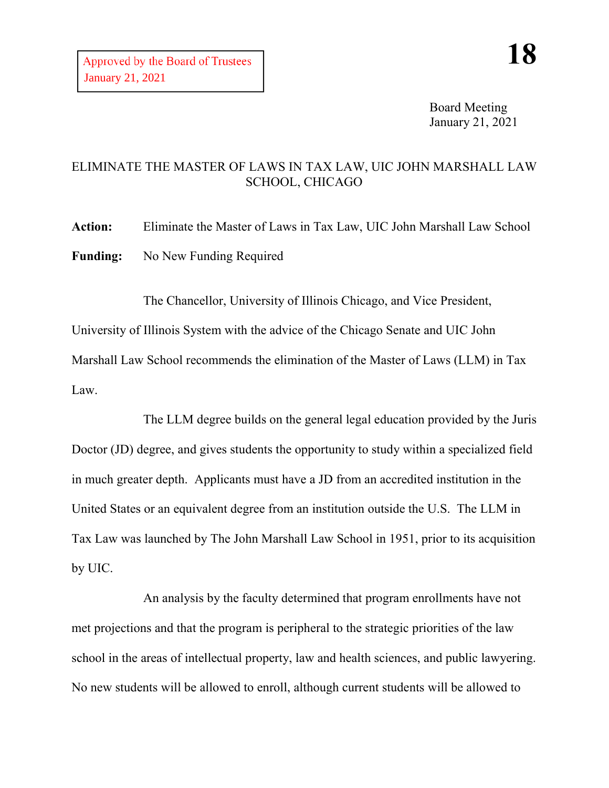Board Meeting January 21, 2021

## ELIMINATE THE MASTER OF LAWS IN TAX LAW, UIC JOHN MARSHALL LAW SCHOOL, CHICAGO

**Action:** Eliminate the Master of Laws in Tax Law, UIC John Marshall Law School **Funding:** No New Funding Required

The Chancellor, University of Illinois Chicago, and Vice President, University of Illinois System with the advice of the Chicago Senate and UIC John Marshall Law School recommends the elimination of the Master of Laws (LLM) in Tax Law.

The LLM degree builds on the general legal education provided by the Juris Doctor (JD) degree, and gives students the opportunity to study within a specialized field in much greater depth. Applicants must have a JD from an accredited institution in the United States or an equivalent degree from an institution outside the U.S. The LLM in Tax Law was launched by The John Marshall Law School in 1951, prior to its acquisition by UIC.

An analysis by the faculty determined that program enrollments have not met projections and that the program is peripheral to the strategic priorities of the law school in the areas of intellectual property, law and health sciences, and public lawyering. No new students will be allowed to enroll, although current students will be allowed to